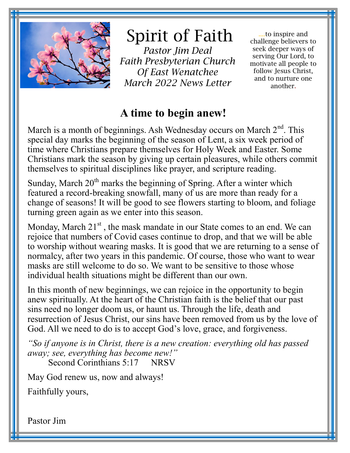

# Spirit of Faith

*Pastor Jim Deal Faith Presbyterian Church Of East Wenatchee March 2022 News Letter* 

....to inspire and challenge believers to seek deeper ways of serving Our Lord, to motivate all people to follow Jesus Christ, and to nurture one another.

## **A time to begin anew!**

March is a month of beginnings. Ash Wednesday occurs on March  $2<sup>nd</sup>$ . This special day marks the beginning of the season of Lent, a six week period of time where Christians prepare themselves for Holy Week and Easter. Some Christians mark the season by giving up certain pleasures, while others commit themselves to spiritual disciplines like prayer, and scripture reading.

Sunday, March  $20<sup>th</sup>$  marks the beginning of Spring. After a winter which featured a record-breaking snowfall, many of us are more than ready for a change of seasons! It will be good to see flowers starting to bloom, and foliage turning green again as we enter into this season.

Monday, March  $21<sup>st</sup>$ , the mask mandate in our State comes to an end. We can rejoice that numbers of Covid cases continue to drop, and that we will be able to worship without wearing masks. It is good that we are returning to a sense of normalcy, after two years in this pandemic. Of course, those who want to wear masks are still welcome to do so. We want to be sensitive to those whose individual health situations might be different than our own.

In this month of new beginnings, we can rejoice in the opportunity to begin anew spiritually. At the heart of the Christian faith is the belief that our past sins need no longer doom us, or haunt us. Through the life, death and resurrection of Jesus Christ, our sins have been removed from us by the love of God. All we need to do is to accept God's love, grace, and forgiveness.

*"So if anyone is in Christ, there is a new creation: everything old has passed away; see, everything has become new!"*

Second Corinthians 5:17 NRSV

May God renew us, now and always!

Faithfully yours,

Pastor Jim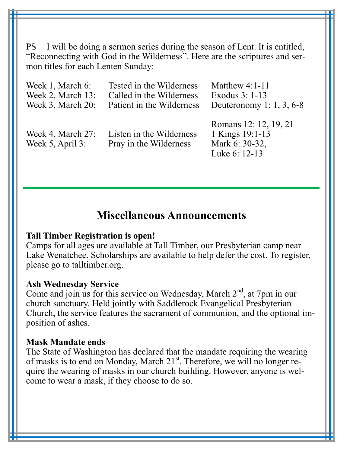PS I will be doing a sermon series during the season of Lent. It is entitled, "Reconnecting with God in the Wilderness". Here are the scriptures and sermon titles for each Lenten Sunday:

| Week 1, March 6:                      | Tested in the Wilderness                           | Matthew $4:1-11$                                                            |
|---------------------------------------|----------------------------------------------------|-----------------------------------------------------------------------------|
| Week 2, March 13:                     | Called in the Wilderness                           | Exodus 3: 1-13                                                              |
| Week 3, March 20:                     | Patient in the Wilderness                          | Deuteronomy 1: 1, 3, 6-8                                                    |
| Week 4, March 27:<br>Week 5, April 3: | Listen in the Wilderness<br>Pray in the Wilderness | Romans 12: 12, 19, 21<br>1 Kings 19:1-13<br>Mark 6: 30-32,<br>Luke 6: 12-13 |

### **Miscellaneous Announcements**

#### **Tall Timber Registration is open!**

Camps for all ages are available at Tall Timber, our Presbyterian camp near Lake Wenatchee. Scholarships are available to help defer the cost. To register, please go to talltimber.org.

#### **Ash Wednesday Service**

Come and join us for this service on Wednesday, March  $2<sup>nd</sup>$ , at 7pm in our church sanctuary. Held jointly with Saddlerock Evangelical Presbyterian Church, the service features the sacrament of communion, and the optional imposition of ashes.

#### **Mask Mandate ends**

The State of Washington has declared that the mandate requiring the wearing of masks is to end on Monday, March 21<sup>st</sup>. Therefore, we will no longer require the wearing of masks in our church building. However, anyone is welcome to wear a mask, if they choose to do so.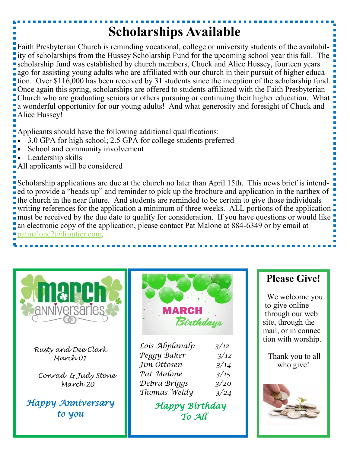## **Scholarships Available**

Faith Presbyterian Church is reminding vocational, college or university students of the availability of scholarships from the Hussey Scholarship Fund for the upcoming school year this fall. The scholarship fund was established by church members, Chuck and Alice Hussey, fourteen years ago for assisting young adults who are affiliated with our church in their pursuit of higher education. Over \$116,000 has been received by 31 students since the inception of the scholarship fund. Once again this spring, scholarships are offered to students affiliated with the Faith Presbyterian Church who are graduating seniors or others pursuing or continuing their higher education. What a wonderful opportunity for our young adults! And what generosity and foresight of Chuck and Alice Hussey!

Applicants should have the following additional qualifications:

- 3.0 GPA for high school; 2.5 GPA for college students preferred
- School and community involvement
- Leadership skills
- All applicants will be considered

Scholarship applications are due at the church no later than April 15th. This news brief is intended to provide a "heads up" and reminder to pick up the brochure and application in the narthex of the church in the near future. And students are reminded to be certain to give those individuals writing references for the application a minimum of three weeks. ALL portions of the application **n** must be received by the due date to qualify for consideration. If you have questions or would like an electronic copy of the application, please contact Pat Malone at 884-6349 or by email at [patmalone2@frontier.com.](mailto:patmalone2@frontier.com) 



*Rusty and Dee Clark March 01* 

 *Conrad & Judy Stone March 20*

*Happy Anniversary to you* 



| Lois Abplanalp | 3/12 |
|----------------|------|
| Peggy Baker    | 3/12 |
| Jim Ottosen    | 3/14 |
| Pat Malone     | 3/15 |
| Debra Briggs   | 3/20 |
| Thomas Weldy   | 3/24 |

 *Happy Birthday To All* 

## **Please Give!**

 We welcome you to give online through our web site, through the mail, or in connec tion with worship.

Thank you to all who give!